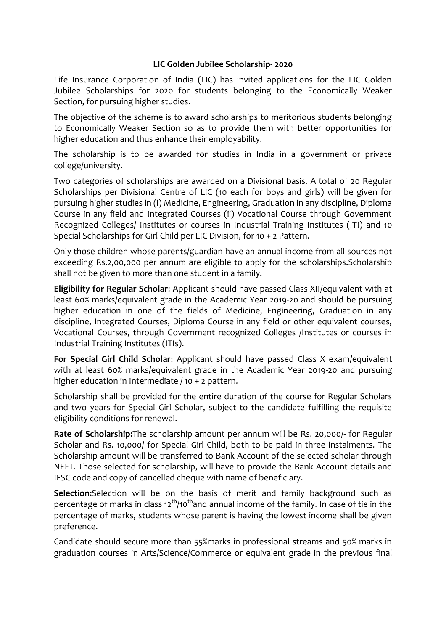## **LIC Golden Jubilee Scholarship- 2020**

Life Insurance Corporation of India (LIC) has invited applications for the LIC Golden Jubilee Scholarships for 2020 for students belonging to the Economically Weaker Section, for pursuing higher studies.

The objective of the scheme is to award scholarships to meritorious students belonging to Economically Weaker Section so as to provide them with better opportunities for higher education and thus enhance their employability.

The scholarship is to be awarded for studies in India in a government or private college/university.

Two categories of scholarships are awarded on a Divisional basis. A total of 20 Regular Scholarships per Divisional Centre of LIC (10 each for boys and girls) will be given for pursuing higher studies in (i) Medicine, Engineering, Graduation in any discipline, Diploma Course in any field and Integrated Courses (ii) Vocational Course through Government Recognized Colleges/ Institutes or courses in Industrial Training Institutes (ITI) and 10 Special Scholarships for Girl Child per LIC Division, for 10 + 2 Pattern.

Only those children whose parents/guardian have an annual income from all sources not exceeding Rs.2,00,000 per annum are eligible to apply for the scholarships.Scholarship shall not be given to more than one student in a family.

**Eligibility for Regular Scholar**: Applicant should have passed Class XII/equivalent with at least 60% marks/equivalent grade in the Academic Year 2019-20 and should be pursuing higher education in one of the fields of Medicine, Engineering, Graduation in any discipline, Integrated Courses, Diploma Course in any field or other equivalent courses, Vocational Courses, through Government recognized Colleges /Institutes or courses in Industrial Training Institutes (ITIs).

**For Special Girl Child Scholar**: Applicant should have passed Class X exam/equivalent with at least 60% marks/equivalent grade in the Academic Year 2019-20 and pursuing higher education in Intermediate / 10 + 2 pattern.

Scholarship shall be provided for the entire duration of the course for Regular Scholars and two years for Special Girl Scholar, subject to the candidate fulfilling the requisite eligibility conditions for renewal.

**Rate of Scholarship:**The scholarship amount per annum will be Rs. 20,000/- for Regular Scholar and Rs. 10,000/ for Special Girl Child, both to be paid in three instalments. The Scholarship amount will be transferred to Bank Account of the selected scholar through NEFT. Those selected for scholarship, will have to provide the Bank Account details and IFSC code and copy of cancelled cheque with name of beneficiary.

**Selection:**Selection will be on the basis of merit and family background such as percentage of marks in class 12<sup>th</sup>/10<sup>th</sup>and annual income of the family. In case of tie in the percentage of marks, students whose parent is having the lowest income shall be given preference.

Candidate should secure more than 55%marks in professional streams and 50% marks in graduation courses in Arts/Science/Commerce or equivalent grade in the previous final